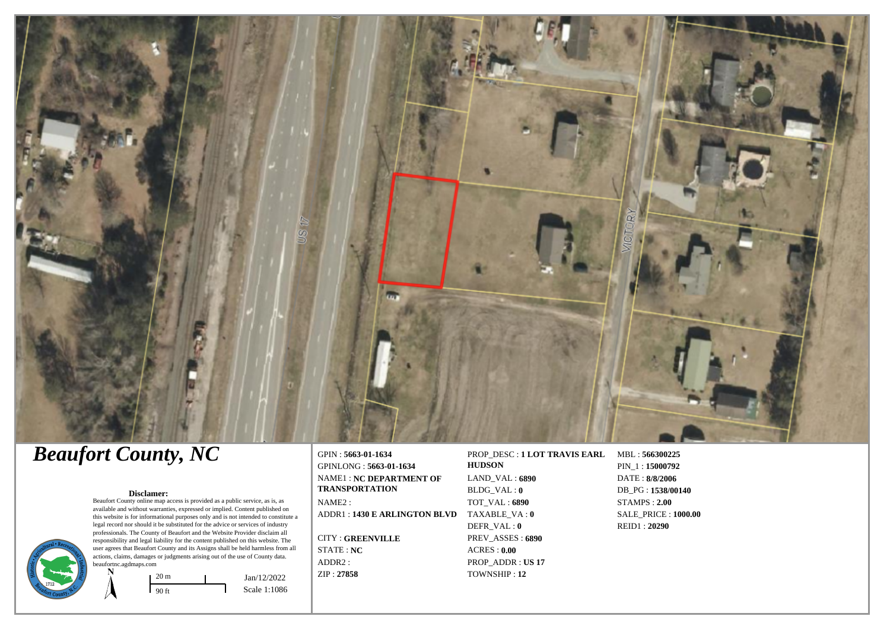

# *Beaufort County, NC*

#### **Disclamer:**

Beaufort County online map access is provided as a public service, as is, as available and without warranties, expressed or implied. Content published on this website is for informational purposes only and is not intended to constitute a legal record nor should it be substituted for the advice or services of industry professionals. The County of Beaufort and the Website Provider disclaim all responsibility and legal liability for the content published on this website. The user agrees that Beaufort County and its Assigns shall be held harmless from all actions, claims, damages or judgments arising out of the use of County data. beaufortnc.agdmaps.com



GPIN : **5663-01-1634** GPINLONG : **5663-01-1634** NAME1 : **NC DEPARTMENT OF TRANSPORTATION** NAME2 : ADDR1 : **1430 E ARLINGTON BLVD** TAXABLE\_VA : **0**

CITY : **GREENVILLE** STATE : **NC** ADDR2 : ZIP : **27858**

**HUDSON** LAND\_VAL : **6890** BLDG\_VAL : **0** TOT\_VAL : **6890** DEFR\_VAL : **0** PREV\_ASSES : **6890** ACRES : **0.00** PROP\_ADDR : **US 17**

TOWNSHIP : **12**

PROP\_DESC : **1 LOT TRAVIS EARL** MBL : **566300225** PIN\_1 : **15000792** DATE : **8/8/2006** DB\_PG : **1538/00140** STAMPS : **2.00** SALE\_PRICE : **1000.00** REID1 : **20290**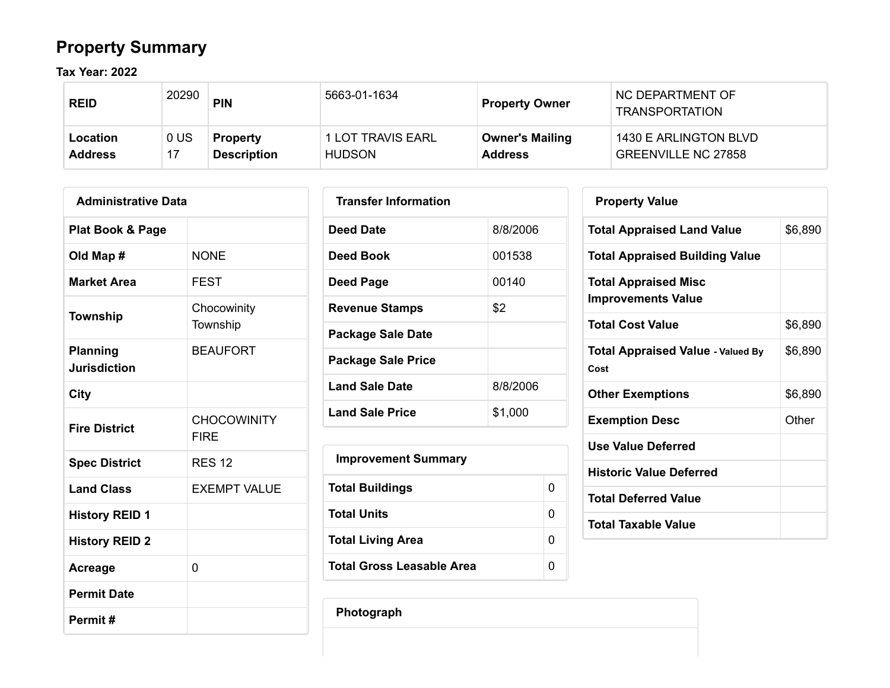# **Property Summary**

**Tax Year: 2022**

| <b>REID</b>    | 20290          | <b>PIN</b>         | 5663-01-1634      | <b>Property Owner</b>  | NC DEPARTMENT OF<br><b>TRANSPORTATION</b> |
|----------------|----------------|--------------------|-------------------|------------------------|-------------------------------------------|
| Location       | 0 <sup>U</sup> | <b>Property</b>    | 1 LOT TRAVIS EARL | <b>Owner's Mailing</b> | 1430 E ARLINGTON BLVD                     |
| <b>Address</b> |                | <b>Description</b> | <b>HUDSON</b>     | <b>Address</b>         | <b>GREENVILLE NC 27858</b>                |

| <b>Administrative Data</b>             |                                   |  |  |  |  |  |
|----------------------------------------|-----------------------------------|--|--|--|--|--|
| Plat Book & Page                       |                                   |  |  |  |  |  |
| Old Map #                              | <b>NONE</b>                       |  |  |  |  |  |
| <b>Market Area</b>                     | FEST                              |  |  |  |  |  |
| <b>Township</b>                        | Chocowinity<br>Township           |  |  |  |  |  |
| <b>Planning</b><br><b>Jurisdiction</b> | <b>BEAUFORT</b>                   |  |  |  |  |  |
| City                                   |                                   |  |  |  |  |  |
| <b>Fire District</b>                   | <b>CHOCOWINITY</b><br><b>FIRF</b> |  |  |  |  |  |
| <b>Spec District</b>                   | <b>RES 12</b>                     |  |  |  |  |  |
| <b>Land Class</b>                      | <b>EXEMPT VALUE</b>               |  |  |  |  |  |
| <b>History REID 1</b>                  |                                   |  |  |  |  |  |
| <b>History REID 2</b>                  |                                   |  |  |  |  |  |
| Acreage                                | 0                                 |  |  |  |  |  |
| <b>Permit Date</b>                     |                                   |  |  |  |  |  |
| Permit#                                |                                   |  |  |  |  |  |

| <b>Transfer Information</b> |          |
|-----------------------------|----------|
| <b>Deed Date</b>            | 8/8/2006 |
| Deed Book                   | 001538   |
| Deed Page                   | 00140    |
| <b>Revenue Stamps</b>       | \$2      |
| <b>Package Sale Date</b>    |          |
| <b>Package Sale Price</b>   |          |
| <b>Land Sale Date</b>       | 8/8/2006 |
| <b>Land Sale Price</b>      | \$1,000  |

| <b>Improvement Summary</b> |   |
|----------------------------|---|
| <b>Total Buildings</b>     | 0 |
| Total Units                | 0 |
| <b>Total Living Area</b>   | 0 |
| Total Gross Leasable Area  | O |

| \$6,890 |
|---------|
|         |
|         |
| \$6,890 |
| \$6,890 |
| \$6,890 |
| Other   |
|         |
|         |
|         |
|         |
|         |

**Photograph**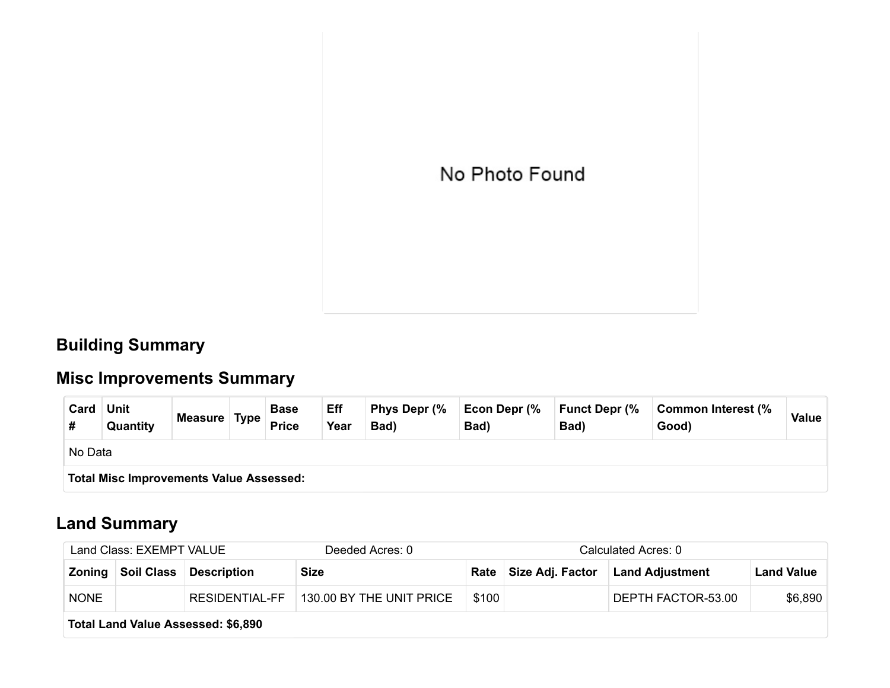

### **Building Summary**

# **Misc Improvements Summary**

| Card | <b>Unit</b><br>Quantity                        | Measure Type |  | <b>Base</b><br><b>Price</b> | Eff<br>Year | Phys Depr (%<br>Bad) | Econ Depr (%<br>Bad) | <b>Funct Depr (%</b><br>Bad) | Common Interest (%<br>Good) | Value |
|------|------------------------------------------------|--------------|--|-----------------------------|-------------|----------------------|----------------------|------------------------------|-----------------------------|-------|
|      | No Data                                        |              |  |                             |             |                      |                      |                              |                             |       |
|      | <b>Total Misc Improvements Value Assessed:</b> |              |  |                             |             |                      |                      |                              |                             |       |

### **Land Summary**

| Land Class: EXEMPT VALUE |                                    |                    | Deeded Acres: 0                 |       | Calculated Acres: 0 |                                           |                   |  |
|--------------------------|------------------------------------|--------------------|---------------------------------|-------|---------------------|-------------------------------------------|-------------------|--|
|                          | Zoning Soil Class                  | <b>Description</b> | <b>Size</b>                     |       |                     | Rate   Size Adj. Factor   Land Adjustment | <b>Land Value</b> |  |
| <b>NONE</b>              |                                    | RESIDENTIAL-FF     | $\mid$ 130.00 BY THE UNIT PRICE | \$100 |                     | DEPTH FACTOR-53.00                        | \$6,890           |  |
|                          | Total Land Value Assessed: \$6,890 |                    |                                 |       |                     |                                           |                   |  |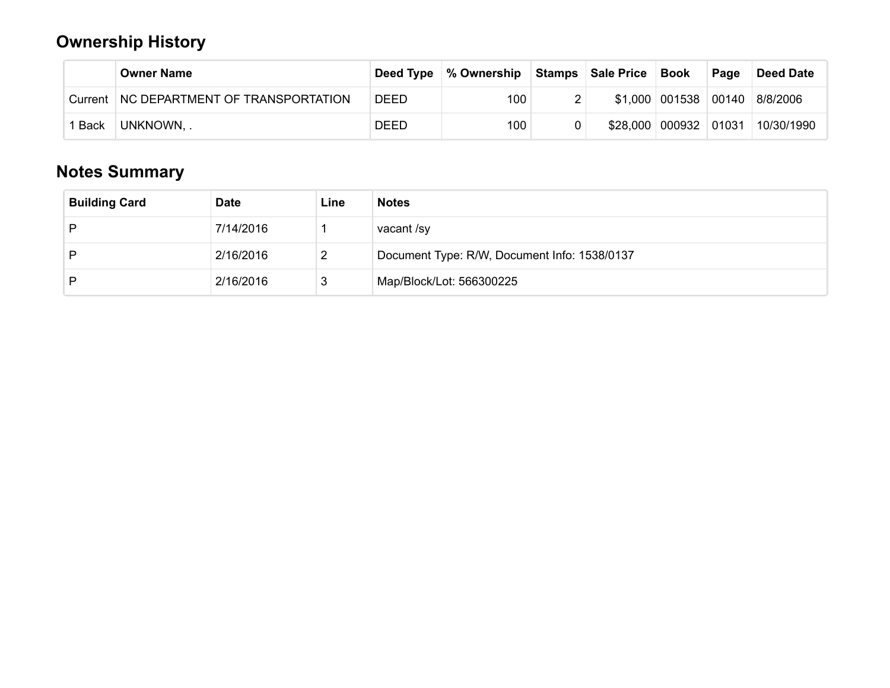### **Ownership History**

|             | <b>Owner Name</b>               |      | Deed Type   % Ownership | Stamps   Sale Price   | Book                 | Page | <b>Deed Date</b> |
|-------------|---------------------------------|------|-------------------------|-----------------------|----------------------|------|------------------|
| Current     | NC DEPARTMENT OF TRANSPORTATION | DEED | 100                     |                       | \$1,000 001538 00140 |      | 8/8/2006         |
| <b>Back</b> | UNKNOWN,                        | DEED | 100                     | \$28,000 000932 01031 |                      |      | 10/30/1990       |

## **Notes Summary**

| <b>Building Card</b> | <b>Date</b> | Line | <b>Notes</b>                                 |
|----------------------|-------------|------|----------------------------------------------|
| D                    | 7/14/2016   |      | vacant /sy                                   |
| D                    | 2/16/2016   | L    | Document Type: R/W, Document Info: 1538/0137 |
| D                    | 2/16/2016   | 3    | Map/Block/Lot: 566300225                     |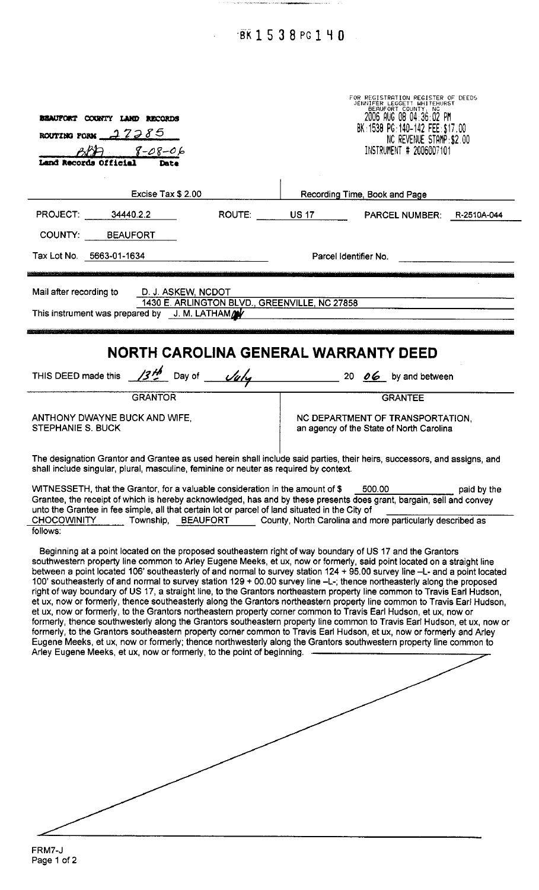BK1538PG140

 $\frac{1}{2}$ 

 $\ddot{\phantom{0}}$ 

| <b>BEAUFORT COUNTY LAND RECORDS</b><br>ROUTING PORM $-27285$<br>$8 - 08 - 06$<br>and Records Official<br>Date                                                                                                                                                                                                                                                                                                         | FOR REGISTRATION REGISTER OF DEEDS<br>JENNIFER LEGGETT WHITEHURST<br>DEAUFORT COUNTY, NC<br>2006 AUG 08 04:36:02 PM<br>BK: 1538 PG: 140-142 FEE: \$17,00<br>NC REVENUE STAMP: \$2,00<br>INSTRUMENT # 2006007101                                                                                                                                                                                                                                                                                                                                                                                                                                                                                                                                                                                                                                                                                                                                                                                                                                                                                                                                                                                                                                                                                                                                                                                                                                                                                                                                                                                |
|-----------------------------------------------------------------------------------------------------------------------------------------------------------------------------------------------------------------------------------------------------------------------------------------------------------------------------------------------------------------------------------------------------------------------|------------------------------------------------------------------------------------------------------------------------------------------------------------------------------------------------------------------------------------------------------------------------------------------------------------------------------------------------------------------------------------------------------------------------------------------------------------------------------------------------------------------------------------------------------------------------------------------------------------------------------------------------------------------------------------------------------------------------------------------------------------------------------------------------------------------------------------------------------------------------------------------------------------------------------------------------------------------------------------------------------------------------------------------------------------------------------------------------------------------------------------------------------------------------------------------------------------------------------------------------------------------------------------------------------------------------------------------------------------------------------------------------------------------------------------------------------------------------------------------------------------------------------------------------------------------------------------------------|
| Excise Tax \$ 2.00                                                                                                                                                                                                                                                                                                                                                                                                    | Recording Time, Book and Page                                                                                                                                                                                                                                                                                                                                                                                                                                                                                                                                                                                                                                                                                                                                                                                                                                                                                                                                                                                                                                                                                                                                                                                                                                                                                                                                                                                                                                                                                                                                                                  |
| PROJECT: 34440.2.2                                                                                                                                                                                                                                                                                                                                                                                                    | ROUTE: US 17 PARCEL NUMBER: R-2510A-044                                                                                                                                                                                                                                                                                                                                                                                                                                                                                                                                                                                                                                                                                                                                                                                                                                                                                                                                                                                                                                                                                                                                                                                                                                                                                                                                                                                                                                                                                                                                                        |
| COUNTY: BEAUFORT                                                                                                                                                                                                                                                                                                                                                                                                      |                                                                                                                                                                                                                                                                                                                                                                                                                                                                                                                                                                                                                                                                                                                                                                                                                                                                                                                                                                                                                                                                                                                                                                                                                                                                                                                                                                                                                                                                                                                                                                                                |
| Tax Lot No. 5663-01-1634                                                                                                                                                                                                                                                                                                                                                                                              | Parcel Identifier No.                                                                                                                                                                                                                                                                                                                                                                                                                                                                                                                                                                                                                                                                                                                                                                                                                                                                                                                                                                                                                                                                                                                                                                                                                                                                                                                                                                                                                                                                                                                                                                          |
| Mail after recording to<br>D. J. ASKEW, NCDOT<br>This instrument was prepared by J. M. LATHAM                                                                                                                                                                                                                                                                                                                         | 1430 E. ARLINGTON BLVD., GREENVILLE, NC 27858                                                                                                                                                                                                                                                                                                                                                                                                                                                                                                                                                                                                                                                                                                                                                                                                                                                                                                                                                                                                                                                                                                                                                                                                                                                                                                                                                                                                                                                                                                                                                  |
|                                                                                                                                                                                                                                                                                                                                                                                                                       | NORTH CAROLINA GENERAL WARRANTY DEED<br>THIS DEED made this $\frac{13\frac{M}{L}}{2}$ Day of $\frac{U_0}{U_0}$ 20 06 by and between                                                                                                                                                                                                                                                                                                                                                                                                                                                                                                                                                                                                                                                                                                                                                                                                                                                                                                                                                                                                                                                                                                                                                                                                                                                                                                                                                                                                                                                            |
| <b>GRANTOR</b>                                                                                                                                                                                                                                                                                                                                                                                                        | <b>GRANTEE</b>                                                                                                                                                                                                                                                                                                                                                                                                                                                                                                                                                                                                                                                                                                                                                                                                                                                                                                                                                                                                                                                                                                                                                                                                                                                                                                                                                                                                                                                                                                                                                                                 |
| ANTHONY DWAYNE BUCK AND WIFE.<br>STEPHANIE S. BUCK                                                                                                                                                                                                                                                                                                                                                                    | NC DEPARTMENT OF TRANSPORTATION,<br>an agency of the State of North Carolina                                                                                                                                                                                                                                                                                                                                                                                                                                                                                                                                                                                                                                                                                                                                                                                                                                                                                                                                                                                                                                                                                                                                                                                                                                                                                                                                                                                                                                                                                                                   |
| shall include singular, plural, masculine, feminine or neuter as required by context.<br>WITNESSETH, that the Grantor, for a valuable consideration in the amount of \$<br>unto the Grantee in fee simple, all that certain lot or parcel of land situated in the City of<br><b>CHOCOWINITY</b><br>Township,<br><b>BEAUFORT</b><br>follows:<br>Arley Eugene Meeks, et ux, now or formerly, to the point of beginning. | The designation Grantor and Grantee as used herein shall include said parties, their heirs, successors, and assigns, and<br>500.00<br>paid by the<br>Grantee, the receipt of which is hereby acknowledged, has and by these presents does grant, bargain, sell and convey<br>County, North Carolina and more particularly described as<br>Beginning at a point located on the proposed southeastern right of way boundary of US 17 and the Grantors<br>southwestern property line common to Arley Eugene Meeks, et ux, now or formerly, said point located on a straight line<br>between a point located 106' southeasterly of and normal to survey station 124 + 95.00 survey line -L- and a point located<br>100' southeasterly of and normal to survey station 129 + 00.00 survey line -L-; thence northeasterly along the proposed<br>right of way boundary of US 17, a straight line, to the Grantors northeastern property line common to Travis Earl Hudson,<br>et ux, now or formerly, thence southeasterly along the Grantors northeastern property line common to Travis Earl Hudson,<br>et ux, now or formerly, to the Grantors northeastern property corner common to Travis Earl Hudson, et ux, now or<br>formerly, thence southwesterly along the Grantors southeastern property line common to Travis Earl Hudson, et ux, now or<br>formerly, to the Grantors southeastern property corner common to Travis Earl Hudson, et ux, now or formerly and Arley<br>Eugene Meeks, et ux, now or formerly; thence northwesterly along the Grantors southwestern property line common to |

FRM7-J<br>Page 1 of 2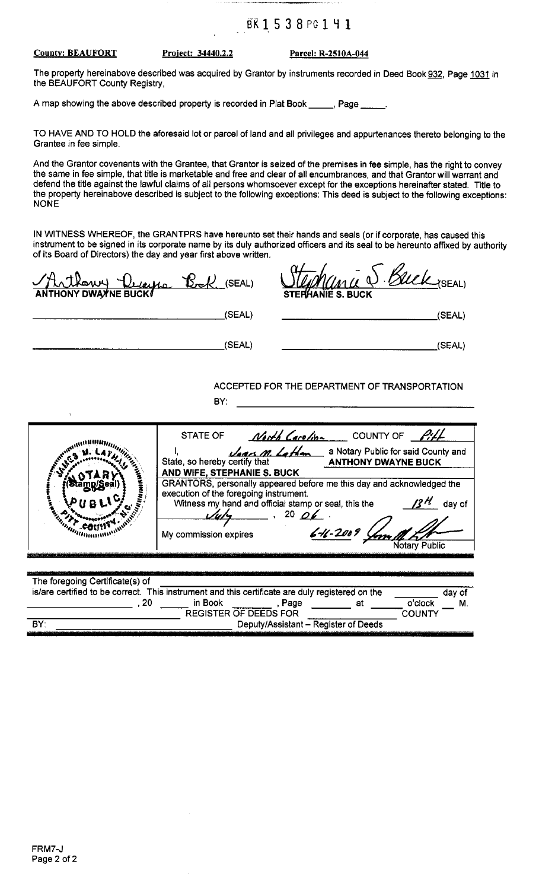#### BK1538PG141

#### **County: BEAUFORT**

Project: 34440.2.2

Parcel: R-2510A-044

The property hereinabove described was acquired by Grantor by instruments recorded in Deed Book 932, Page 1031 in the BEAUFORT County Registry.

A map showing the above described property is recorded in Plat Book \_\_\_\_\_, Page \_\_

TO HAVE AND TO HOLD the aforesaid lot or parcel of land and all privileges and appurtenances thereto belonging to the Grantee in fee simple.

And the Grantor covenants with the Grantee, that Grantor is seized of the premises in fee simple, has the right to convey the same in fee simple, that title is marketable and free and clear of all encumbrances, and that Grantor will warrant and defend the title against the lawful claims of all persons whomsoever except for the exceptions hereinafter stated. Title to the property hereinabove described is subject to the following exceptions: This deed is subject to the following exceptions: **NONE** 

IN WITNESS WHEREOF, the GRANTPRS have hereunto set their hands and seals (or if corporate, has caused this instrument to be signed in its corporate name by its duly authorized officers and its seal to be hereunto affixed by authority of its Board of Directors) the day and year first above written.

| Hathowy Decepto Book (SEAL)                                                                                                               |                                                                                                                                                            | Kuck (SEAL)<br><b>STERHANIE S. BUCK</b>                                                                                                                                                                                                                                                                                                                                      |
|-------------------------------------------------------------------------------------------------------------------------------------------|------------------------------------------------------------------------------------------------------------------------------------------------------------|------------------------------------------------------------------------------------------------------------------------------------------------------------------------------------------------------------------------------------------------------------------------------------------------------------------------------------------------------------------------------|
|                                                                                                                                           | (SEAL)                                                                                                                                                     | (SEAL)                                                                                                                                                                                                                                                                                                                                                                       |
|                                                                                                                                           | (SEAL)                                                                                                                                                     | (SEAL)                                                                                                                                                                                                                                                                                                                                                                       |
|                                                                                                                                           | BY:                                                                                                                                                        | ACCEPTED FOR THE DEPARTMENT OF TRANSPORTATION                                                                                                                                                                                                                                                                                                                                |
| <b>Maritim COUNTY</b>                                                                                                                     | State, so hereby certify that<br>AND WIFE, STEPHANIE S. BUCK<br>execution of the foregoing instrument.<br>$u/v_1$ , $20 \rho_2$ .<br>My commission expires | STATE OF $\frac{N \cdot N}{N}$ Careline COUNTY OF $\frac{\rho_i}{\rho_i}$<br>Jages M. Lathan<br>a Notary Public for said County and<br><b>ANTHONY DWAYNE BUCK</b><br>GRANTORS, personally appeared before me this day and acknowledged the<br>$\mathcal{B}^{\mathcal{H}}$ day of<br>Witness my hand and official stamp or seal, this the<br>$6 - 11 - 2009$<br>Notary Public |
| The foregoing Certificate(s) of<br>is/are certified to be correct. This instrument and this certificate are duly registered on the<br>.20 | in Book                                                                                                                                                    | day of<br>o'clock<br>, Page<br>at the state of the state of the state of the state of the state of the state of the state of the state of the<br>M.                                                                                                                                                                                                                          |
| BY:                                                                                                                                       | <b>REGISTER OF DEEDS FOR</b>                                                                                                                               | <b>COUNTY</b><br>Deputy/Assistant - Register of Deeds                                                                                                                                                                                                                                                                                                                        |